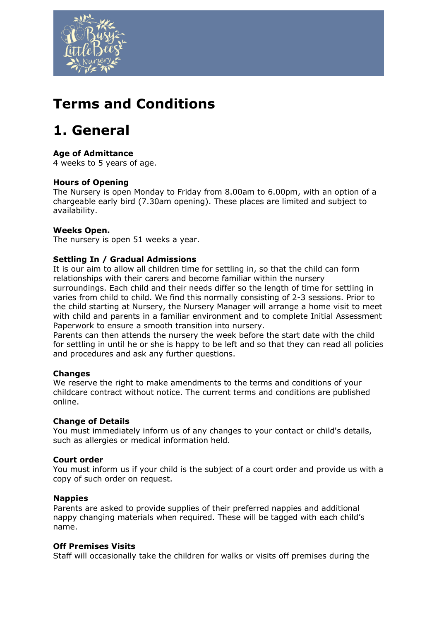

## **Terms and Conditions**

## **1. General**

## **Age of Admittance**

4 weeks to 5 years of age.

#### **Hours of Opening**

The Nursery is open Monday to Friday from 8.00am to 6.00pm, with an option of a chargeable early bird (7.30am opening). These places are limited and subject to availability.

#### **Weeks Open.**

The nursery is open 51 weeks a year.

#### **Settling In / Gradual Admissions**

It is our aim to allow all children time for settling in, so that the child can form relationships with their carers and become familiar within the nursery surroundings. Each child and their needs differ so the length of time for settling in varies from child to child. We find this normally consisting of 2-3 sessions. Prior to the child starting at Nursery, the Nursery Manager will arrange a home visit to meet with child and parents in a familiar environment and to complete Initial Assessment Paperwork to ensure a smooth transition into nursery.

Parents can then attends the nursery the week before the start date with the child for settling in until he or she is happy to be left and so that they can read all policies and procedures and ask any further questions.

#### **Changes**

We reserve the right to make amendments to the terms and conditions of your childcare contract without notice. The current terms and conditions are published online.

#### **Change of Details**

You must immediately inform us of any changes to your contact or child's details, such as allergies or medical information held.

#### **Court order**

You must inform us if your child is the subject of a court order and provide us with a copy of such order on request.

#### **Nappies**

Parents are asked to provide supplies of their preferred nappies and additional nappy changing materials when required. These will be tagged with each child's name.

#### **Off Premises Visits**

Staff will occasionally take the children for walks or visits off premises during the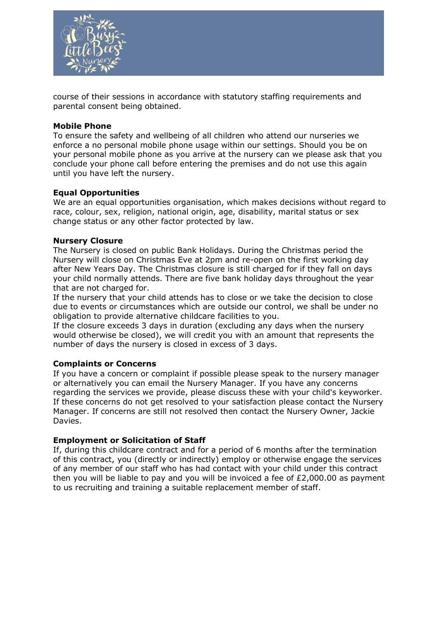

course of their sessions in accordance with statutory staffing requirements and parental consent being obtained.

#### **Mobile Phone**

To ensure the safety and wellbeing of all children who attend our nurseries we enforce a no personal mobile phone usage within our settings. Should you be on your personal mobile phone as you arrive at the nursery can we please ask that you conclude your phone call before entering the premises and do not use this again until you have left the nursery.

#### **Equal Opportunities**

We are an equal opportunities organisation, which makes decisions without regard to race, colour, sex, religion, national origin, age, disability, marital status or sex change status or any other factor protected by law.

#### **Nursery Closure**

The Nursery is closed on public Bank Holidays. During the Christmas period the Nursery will close on Christmas Eve at 2pm and re-open on the first working day after New Years Day. The Christmas closure is still charged for if they fall on days your child normally attends. There are five bank holiday days throughout the year that are not charged for.

If the nursery that your child attends has to close or we take the decision to close due to events or circumstances which are outside our control, we shall be under no obligation to provide alternative childcare facilities to you.

If the closure exceeds 3 days in duration (excluding any days when the nursery would otherwise be closed), we will credit you with an amount that represents the number of days the nursery is closed in excess of 3 days.

#### **Complaints or Concerns**

If you have a concern or complaint if possible please speak to the nursery manager or alternatively you can email the Nursery Manager. If you have any concerns regarding the services we provide, please discuss these with your child's keyworker. If these concerns do not get resolved to your satisfaction please contact the Nursery Manager. If concerns are still not resolved then contact the Nursery Owner, Jackie Davies.

#### **Employment or Solicitation of Staff**

If, during this childcare contract and for a period of 6 months after the termination of this contract, you (directly or indirectly) employ or otherwise engage the services of any member of our staff who has had contact with your child under this contract then you will be liable to pay and you will be invoiced a fee of  $E2,000.00$  as payment to us recruiting and training a suitable replacement member of staff.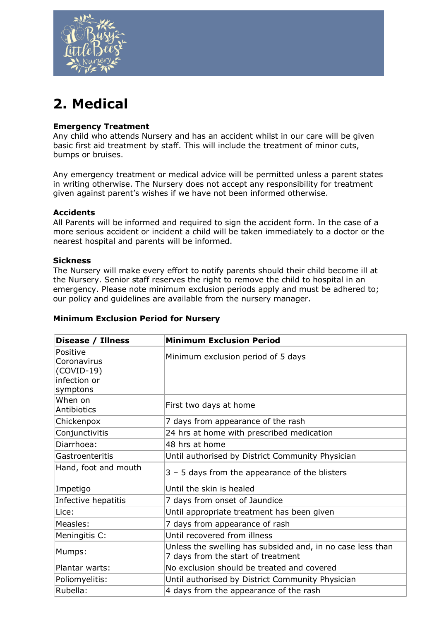

# **2. Medical**

## **Emergency Treatment**

Any child who attends Nursery and has an accident whilst in our care will be given basic first aid treatment by staff. This will include the treatment of minor cuts, bumps or bruises.

Any emergency treatment or medical advice will be permitted unless a parent states in writing otherwise. The Nursery does not accept any responsibility for treatment given against parent's wishes if we have not been informed otherwise.

## **Accidents**

All Parents will be informed and required to sign the accident form. In the case of a more serious accident or incident a child will be taken immediately to a doctor or the nearest hospital and parents will be informed.

#### **Sickness**

The Nursery will make every effort to notify parents should their child become ill at the Nursery. Senior staff reserves the right to remove the child to hospital in an emergency. Please note minimum exclusion periods apply and must be adhered to; our policy and guidelines are available from the nursery manager.

| Disease / Illness                                                   | <b>Minimum Exclusion Period</b>                                                                  |
|---------------------------------------------------------------------|--------------------------------------------------------------------------------------------------|
| Positive<br>Coronavirus<br>$(COVID-19)$<br>infection or<br>symptons | Minimum exclusion period of 5 days                                                               |
| When on<br><b>Antibiotics</b>                                       | First two days at home                                                                           |
| Chickenpox                                                          | 7 days from appearance of the rash                                                               |
| Conjunctivitis                                                      | 24 hrs at home with prescribed medication                                                        |
| Diarrhoea:                                                          | 48 hrs at home                                                                                   |
| Gastroenteritis                                                     | Until authorised by District Community Physician                                                 |
| Hand, foot and mouth                                                | $3 - 5$ days from the appearance of the blisters                                                 |
| Impetigo                                                            | Until the skin is healed                                                                         |
| Infective hepatitis                                                 | 7 days from onset of Jaundice                                                                    |
| Lice:                                                               | Until appropriate treatment has been given                                                       |
| Measles:                                                            | 7 days from appearance of rash                                                                   |
| Meningitis C:                                                       | Until recovered from illness                                                                     |
| Mumps:                                                              | Unless the swelling has subsided and, in no case less than<br>7 days from the start of treatment |
| Plantar warts:                                                      | No exclusion should be treated and covered                                                       |
| Poliomyelitis:                                                      | Until authorised by District Community Physician                                                 |
| Rubella:                                                            | 4 days from the appearance of the rash                                                           |

#### **Minimum Exclusion Period for Nursery**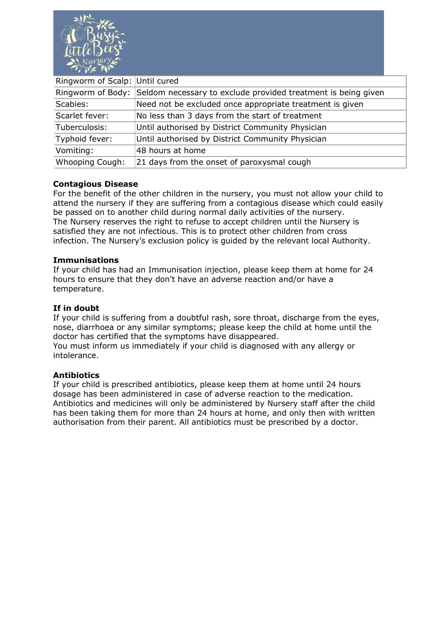

| Ringworm of Scalp: Until cured |                                                                                 |
|--------------------------------|---------------------------------------------------------------------------------|
|                                | Ringworm of Body: Seldom necessary to exclude provided treatment is being given |
| Scabies:                       | Need not be excluded once appropriate treatment is given                        |
| Scarlet fever:                 | No less than 3 days from the start of treatment                                 |
| Tuberculosis:                  | Until authorised by District Community Physician                                |
| Typhoid fever:                 | Until authorised by District Community Physician                                |
| Vomiting:                      | 48 hours at home                                                                |
| Whooping Cough:                | 21 days from the onset of paroxysmal cough                                      |
|                                |                                                                                 |

#### **Contagious Disease**

For the benefit of the other children in the nursery, you must not allow your child to attend the nursery if they are suffering from a contagious disease which could easily be passed on to another child during normal daily activities of the nursery. The Nursery reserves the right to refuse to accept children until the Nursery is satisfied they are not infectious. This is to protect other children from cross infection. The Nursery's exclusion policy is guided by the relevant local Authority.

#### **Immunisations**

If your child has had an Immunisation injection, please keep them at home for 24 hours to ensure that they don't have an adverse reaction and/or have a temperature.

#### **If in doubt**

If your child is suffering from a doubtful rash, sore throat, discharge from the eyes, nose, diarrhoea or any similar symptoms; please keep the child at home until the doctor has certified that the symptoms have disappeared.

You must inform us immediately if your child is diagnosed with any allergy or intolerance.

#### **Antibiotics**

If your child is prescribed antibiotics, please keep them at home until 24 hours dosage has been administered in case of adverse reaction to the medication. Antibiotics and medicines will only be administered by Nursery staff after the child has been taking them for more than 24 hours at home, and only then with written authorisation from their parent. All antibiotics must be prescribed by a doctor.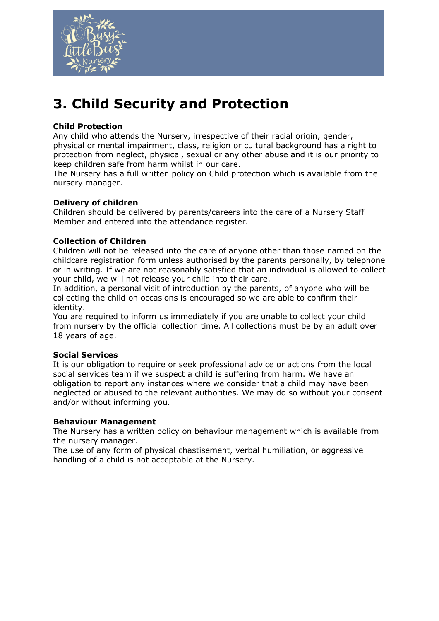

# **3. Child Security and Protection**

## **Child Protection**

Any child who attends the Nursery, irrespective of their racial origin, gender, physical or mental impairment, class, religion or cultural background has a right to protection from neglect, physical, sexual or any other abuse and it is our priority to keep children safe from harm whilst in our care.

The Nursery has a full written policy on Child protection which is available from the nursery manager.

## **Delivery of children**

Children should be delivered by parents/careers into the care of a Nursery Staff Member and entered into the attendance register.

## **Collection of Children**

Children will not be released into the care of anyone other than those named on the childcare registration form unless authorised by the parents personally, by telephone or in writing. If we are not reasonably satisfied that an individual is allowed to collect your child, we will not release your child into their care.

In addition, a personal visit of introduction by the parents, of anyone who will be collecting the child on occasions is encouraged so we are able to confirm their identity.

You are required to inform us immediately if you are unable to collect your child from nursery by the official collection time. All collections must be by an adult over 18 years of age.

## **Social Services**

It is our obligation to require or seek professional advice or actions from the local social services team if we suspect a child is suffering from harm. We have an obligation to report any instances where we consider that a child may have been neglected or abused to the relevant authorities. We may do so without your consent and/or without informing you.

#### **Behaviour Management**

The Nursery has a written policy on behaviour management which is available from the nursery manager.

The use of any form of physical chastisement, verbal humiliation, or aggressive handling of a child is not acceptable at the Nursery.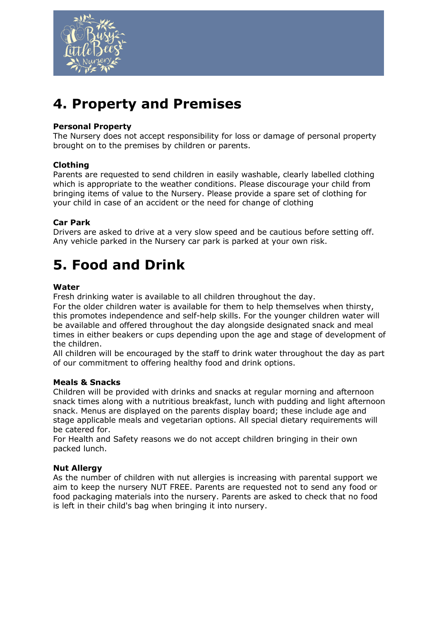

# **4. Property and Premises**

### **Personal Property**

The Nursery does not accept responsibility for loss or damage of personal property brought on to the premises by children or parents.

## **Clothing**

Parents are requested to send children in easily washable, clearly labelled clothing which is appropriate to the weather conditions. Please discourage your child from bringing items of value to the Nursery. Please provide a spare set of clothing for your child in case of an accident or the need for change of clothing

#### **Car Park**

Drivers are asked to drive at a very slow speed and be cautious before setting off. Any vehicle parked in the Nursery car park is parked at your own risk.

## **5. Food and Drink**

#### **Water**

Fresh drinking water is available to all children throughout the day.

For the older children water is available for them to help themselves when thirsty, this promotes independence and self-help skills. For the younger children water will be available and offered throughout the day alongside designated snack and meal times in either beakers or cups depending upon the age and stage of development of the children.

All children will be encouraged by the staff to drink water throughout the day as part of our commitment to offering healthy food and drink options.

#### **Meals & Snacks**

Children will be provided with drinks and snacks at regular morning and afternoon snack times along with a nutritious breakfast, lunch with pudding and light afternoon snack. Menus are displayed on the parents display board; these include age and stage applicable meals and vegetarian options. All special dietary requirements will be catered for.

For Health and Safety reasons we do not accept children bringing in their own packed lunch.

#### **Nut Allergy**

As the number of children with nut allergies is increasing with parental support we aim to keep the nursery NUT FREE. Parents are requested not to send any food or food packaging materials into the nursery. Parents are asked to check that no food is left in their child's bag when bringing it into nursery.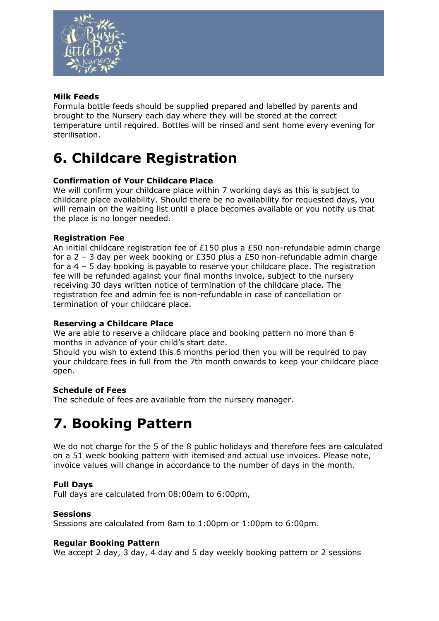

## **Milk Feeds**

Formula bottle feeds should be supplied prepared and labelled by parents and brought to the Nursery each day where they will be stored at the correct temperature until required. Bottles will be rinsed and sent home every evening for sterilisation.

## **6. Childcare Registration**

## **Confirmation of Your Childcare Place**

We will confirm your childcare place within 7 working days as this is subject to childcare place availability. Should there be no availability for requested days, you will remain on the waiting list until a place becomes available or you notify us that the place is no longer needed.

## **Registration Fee**

An initial childcare registration fee of £150 plus a £50 non-refundable admin charge for a 2 – 3 day per week booking or £350 plus a £50 non-refundable admin charge for a 4 – 5 day booking is payable to reserve your childcare place. The registration fee will be refunded against your final months invoice, subject to the nursery receiving 30 days written notice of termination of the childcare place. The registration fee and admin fee is non-refundable in case of cancellation or termination of your childcare place.

## **Reserving a Childcare Place**

We are able to reserve a childcare place and booking pattern no more than 6 months in advance of your child's start date.

Should you wish to extend this 6 months period then you will be required to pay your childcare fees in full from the 7th month onwards to keep your childcare place open.

## **Schedule of Fees**

The schedule of fees are available from the nursery manager.

## **7. Booking Pattern**

We do not charge for the 5 of the 8 public holidays and therefore fees are calculated on a 51 week booking pattern with itemised and actual use invoices. Please note, invoice values will change in accordance to the number of days in the month.

## **Full Days**

Full days are calculated from 08:00am to 6:00pm,

## **Sessions**

Sessions are calculated from 8am to 1:00pm or 1:00pm to 6:00pm.

#### **Regular Booking Pattern**

We accept 2 day, 3 day, 4 day and 5 day weekly booking pattern or 2 sessions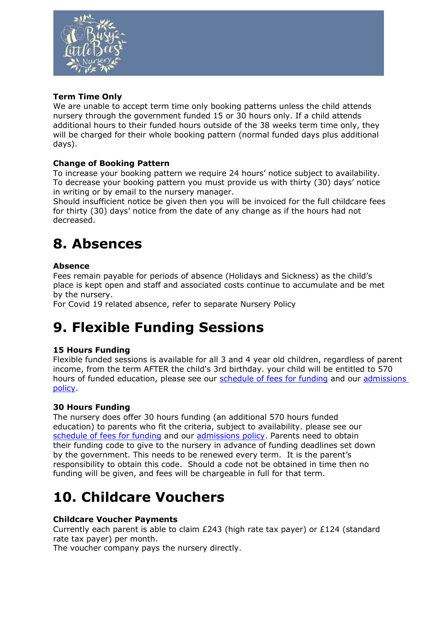

## **Term Time Only**

We are unable to accept term time only booking patterns unless the child attends nursery through the government funded 15 or 30 hours only. If a child attends additional hours to their funded hours outside of the 38 weeks term time only, they will be charged for their whole booking pattern (normal funded days plus additional days).

## **Change of Booking Pattern**

To increase your booking pattern we require 24 hours' notice subject to availability. To decrease your booking pattern you must provide us with thirty (30) days' notice in writing or by email to the nursery manager.

Should insufficient notice be given then you will be invoiced for the full childcare fees for thirty (30) days' notice from the date of any change as if the hours had not decreased.

## **8. Absences**

## **Absence**

Fees remain payable for periods of absence (Holidays and Sickness) as the child's place is kept open and staff and associated costs continue to accumulate and be met by the nursery.

For Covid 19 related absence, refer to separate Nursery Policy

## **9. Flexible Funding Sessions**

## **15 Hours Funding**

Flexible funded sessions is available for all 3 and 4 year old children, regardless of parent income, from the term AFTER the child's 3rd birthday. your child will be entitled to 570 hours of funded education, please see our [schedule of fees for funding](https://busylittlebeesnursery.co.uk/images/pdfs/ScheduleoffeespageApril2022.pdf) and our [admissions](https://busylittlebeesnursery.co.uk/images/pdfs/AdmissionsPolicyApril2022.pdf)  [policy.](https://busylittlebeesnursery.co.uk/images/pdfs/AdmissionsPolicyApril2022.pdf)

## **30 Hours Funding**

The nursery does offer 30 hours funding (an additional 570 hours funded education) to parents who fit the criteria, subject to availability. please see our [schedule of fees for funding](https://busylittlebeesnursery.co.uk/images/pdfs/ScheduleoffeespageApril2022.pdf) and our [admissions policy.](https://busylittlebeesnursery.co.uk/images/pdfs/AdmissionsPolicyApril2022.pdf) Parents need to obtain their funding code to give to the nursery in advance of funding deadlines set down by the government. This needs to be renewed every term. It is the parent's responsibility to obtain this code. Should a code not be obtained in time then no funding will be given, and fees will be chargeable in full for that term.

## **10. Childcare Vouchers**

## **Childcare Voucher Payments**

Currently each parent is able to claim  $E$ 243 (high rate tax payer) or £124 (standard rate tax payer) per month.

The voucher company pays the nursery directly.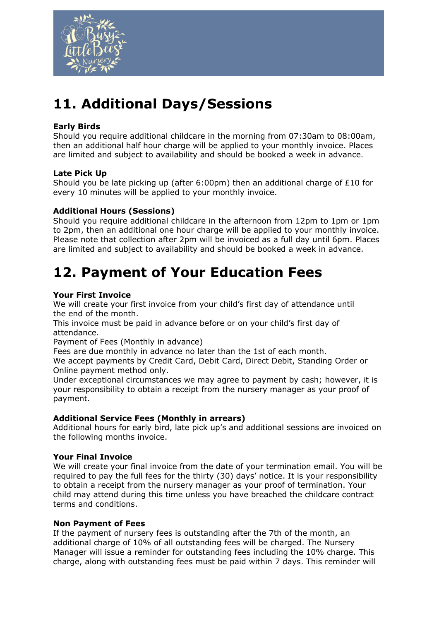

# **11. Additional Days/Sessions**

## **Early Birds**

Should you require additional childcare in the morning from 07:30am to 08:00am, then an additional half hour charge will be applied to your monthly invoice. Places are limited and subject to availability and should be booked a week in advance.

## **Late Pick Up**

Should you be late picking up (after 6:00pm) then an additional charge of £10 for every 10 minutes will be applied to your monthly invoice.

## **Additional Hours (Sessions)**

Should you require additional childcare in the afternoon from 12pm to 1pm or 1pm to 2pm, then an additional one hour charge will be applied to your monthly invoice. Please note that collection after 2pm will be invoiced as a full day until 6pm. Places are limited and subject to availability and should be booked a week in advance.

## **12. Payment of Your Education Fees**

## **Your First Invoice**

We will create your first invoice from your child's first day of attendance until the end of the month.

This invoice must be paid in advance before or on your child's first day of attendance.

Payment of Fees (Monthly in advance)

Fees are due monthly in advance no later than the 1st of each month.

We accept payments by Credit Card, Debit Card, Direct Debit, Standing Order or Online payment method only.

Under exceptional circumstances we may agree to payment by cash; however, it is your responsibility to obtain a receipt from the nursery manager as your proof of payment.

## **Additional Service Fees (Monthly in arrears)**

Additional hours for early bird, late pick up's and additional sessions are invoiced on the following months invoice.

## **Your Final Invoice**

We will create your final invoice from the date of your termination email. You will be required to pay the full fees for the thirty (30) days' notice. It is your responsibility to obtain a receipt from the nursery manager as your proof of termination. Your child may attend during this time unless you have breached the childcare contract terms and conditions.

#### **Non Payment of Fees**

If the payment of nursery fees is outstanding after the 7th of the month, an additional charge of 10% of all outstanding fees will be charged. The Nursery Manager will issue a reminder for outstanding fees including the 10% charge. This charge, along with outstanding fees must be paid within 7 days. This reminder will